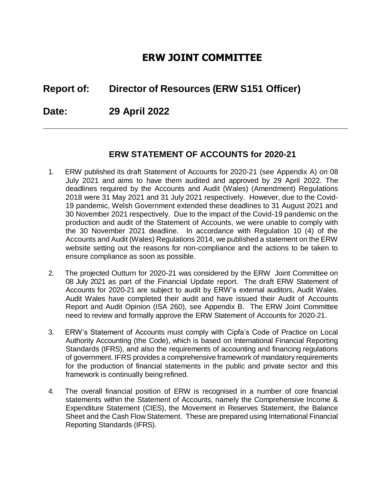# **ERW JOINT COMMITTEE**

# **Report of: Director of Resources (ERW S151 Officer)**

**Date: 29 April 2022**

# **ERW STATEMENT OF ACCOUNTS for 2020-21**

- 1. ERW published its draft Statement of Accounts for 2020-21 (see Appendix A) on 08 July 2021 and aims to have them audited and approved by 29 April 2022. The deadlines required by the Accounts and Audit (Wales) (Amendment) Regulations 2018 were 31 May 2021 and 31 July 2021 respectively. However, due to the Covid-19 pandemic, Welsh Government extended these deadlines to 31 August 2021 and 30 November 2021 respectively. Due to the impact of the Covid-19 pandemic on the production and audit of the Statement of Accounts, we were unable to comply with the 30 November 2021 deadline. In accordance with Regulation 10 (4) of the Accounts and Audit (Wales) Regulations 2014, we published a statement on the ERW website setting out the reasons for non-compliance and the actions to be taken to ensure compliance as soon as possible.
- 2. The projected Outturn for 2020-21 was considered by the ERW Joint Committee on 08 July 2021 as part of the Financial Update report. The draft ERW Statement of Accounts for 2020-21 are subject to audit by ERW's external auditors, Audit Wales. Audit Wales have completed their audit and have issued their Audit of Accounts Report and Audit Opinion (ISA 260), see Appendix B. The ERW Joint Committee need to review and formally approve the ERW Statement of Accounts for 2020-21.
- 3. ERW's Statement of Accounts must comply with Cipfa's Code of Practice on Local Authority Accounting (the Code), which is based on International Financial Reporting Standards (IFRS), and also the requirements of accounting and financing regulations of government. IFRS provides a comprehensive framework of mandatory requirements for the production of financial statements in the public and private sector and this framework is continually being refined.
- 4. The overall financial position of ERW is recognised in a number of core financial statements within the Statement of Accounts, namely the Comprehensive Income & Expenditure Statement (CIES), the Movement in Reserves Statement, the Balance Sheet and the Cash Flow Statement. These are prepared using International Financial Reporting Standards (IFRS).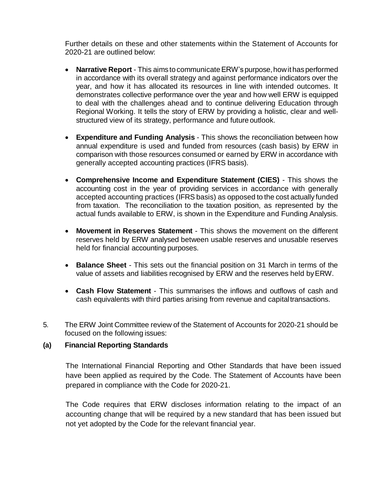Further details on these and other statements within the Statement of Accounts for 2020-21 are outlined below:

- **Narrative Report** This aims to communicate ERW's purpose, how it has performed in accordance with its overall strategy and against performance indicators over the year, and how it has allocated its resources in line with intended outcomes. It demonstrates collective performance over the year and how well ERW is equipped to deal with the challenges ahead and to continue delivering Education through Regional Working. It tells the story of ERW by providing a holistic, clear and wellstructured view of its strategy, performance and future outlook.
- **Expenditure and Funding Analysis**  This shows the reconciliation between how annual expenditure is used and funded from resources (cash basis) by ERW in comparison with those resources consumed or earned by ERW in accordance with generally accepted accounting practices (IFRS basis).
- **Comprehensive Income and Expenditure Statement (CIES)**  This shows the accounting cost in the year of providing services in accordance with generally accepted accounting practices (IFRS basis) as opposed to the cost actually funded from taxation. The reconciliation to the taxation position, as represented by the actual funds available to ERW, is shown in the Expenditure and Funding Analysis.
- **Movement in Reserves Statement**  This shows the movement on the different reserves held by ERW analysed between usable reserves and unusable reserves held for financial accounting purposes.
- **Balance Sheet**  This sets out the financial position on 31 March in terms of the value of assets and liabilities recognised by ERW and the reserves held byERW.
- **Cash Flow Statement**  This summarises the inflows and outflows of cash and cash equivalents with third parties arising from revenue and capitaltransactions.
- 5. The ERW Joint Committee review of the Statement of Accounts for 2020-21 should be focused on the following issues:

#### **(a) Financial Reporting Standards**

The International Financial Reporting and Other Standards that have been issued have been applied as required by the Code. The Statement of Accounts have been prepared in compliance with the Code for 2020-21.

The Code requires that ERW discloses information relating to the impact of an accounting change that will be required by a new standard that has been issued but not yet adopted by the Code for the relevant financial year.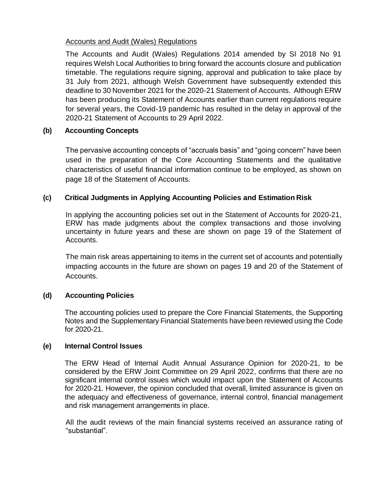#### Accounts and Audit (Wales) Regulations

The Accounts and Audit (Wales) Regulations 2014 amended by SI 2018 No 91 requires Welsh Local Authorities to bring forward the accounts closure and publication timetable. The regulations require signing, approval and publication to take place by 31 July from 2021, although Welsh Government have subsequently extended this deadline to 30 November 2021 for the 2020-21 Statement of Accounts. Although ERW has been producing its Statement of Accounts earlier than current regulations require for several years, the Covid-19 pandemic has resulted in the delay in approval of the 2020-21 Statement of Accounts to 29 April 2022.

## **(b) Accounting Concepts**

The pervasive accounting concepts of "accruals basis" and "going concern" have been used in the preparation of the Core Accounting Statements and the qualitative characteristics of useful financial information continue to be employed, as shown on page 18 of the Statement of Accounts.

## **(c) Critical Judgments in Applying Accounting Policies and Estimation Risk**

In applying the accounting policies set out in the Statement of Accounts for 2020-21, ERW has made judgments about the complex transactions and those involving uncertainty in future years and these are shown on page 19 of the Statement of Accounts.

The main risk areas appertaining to items in the current set of accounts and potentially impacting accounts in the future are shown on pages 19 and 20 of the Statement of Accounts.

## **(d) Accounting Policies**

The accounting policies used to prepare the Core Financial Statements, the Supporting Notes and the Supplementary Financial Statements have been reviewed using the Code for 2020-21.

#### **(e) Internal Control Issues**

The ERW Head of Internal Audit Annual Assurance Opinion for 2020-21, to be considered by the ERW Joint Committee on 29 April 2022, confirms that there are no significant internal control issues which would impact upon the Statement of Accounts for 2020-21. However, the opinion concluded that overall, limited assurance is given on the adequacy and effectiveness of governance, internal control, financial management and risk management arrangements in place.

All the audit reviews of the main financial systems received an assurance rating of "substantial".